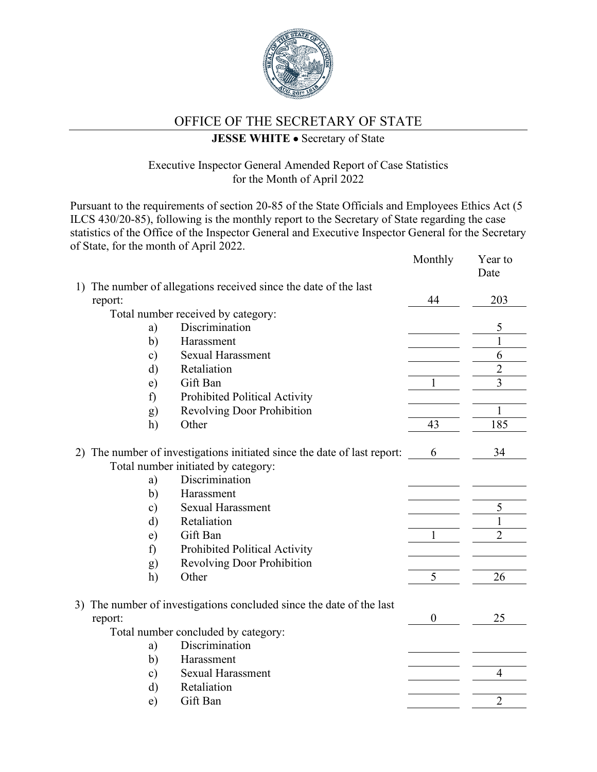

## OFFICE OF THE SECRETARY OF STATE

## **JESSE WHITE** • Secretary of State

## Executive Inspector General Amended Report of Case Statistics for the Month of April 2022

Pursuant to the requirements of section 20-85 of the State Officials and Employees Ethics Act (5 ILCS 430/20-85), following is the monthly report to the Secretary of State regarding the case statistics of the Office of the Inspector General and Executive Inspector General for the Secretary of State, for the month of April 2022.

|    |                                     |                                                                       | Monthly          | Year to<br>Date |
|----|-------------------------------------|-----------------------------------------------------------------------|------------------|-----------------|
|    |                                     | 1) The number of allegations received since the date of the last      |                  |                 |
|    | report:                             |                                                                       | 44               | 203             |
|    |                                     | Total number received by category:                                    |                  |                 |
|    | a)                                  | Discrimination                                                        |                  | 5               |
|    | b)                                  | Harassment                                                            |                  | $\mathbf{1}$    |
|    | $\mathbf{c})$                       | <b>Sexual Harassment</b>                                              |                  | 6               |
|    | $\rm d)$                            | Retaliation                                                           |                  | $\overline{2}$  |
|    | $\epsilon$ )                        | Gift Ban                                                              | 1                | $\overline{3}$  |
|    | f)                                  | Prohibited Political Activity                                         |                  |                 |
|    | g)                                  | <b>Revolving Door Prohibition</b>                                     |                  | $\mathbf 1$     |
|    | h)                                  | Other                                                                 | 43               | 185             |
| 2) |                                     | The number of investigations initiated since the date of last report: | 6                | 34              |
|    |                                     | Total number initiated by category:                                   |                  |                 |
|    | a)                                  | Discrimination                                                        |                  |                 |
|    | b)                                  | Harassment                                                            |                  |                 |
|    | $\mathbf{c})$                       | <b>Sexual Harassment</b>                                              |                  | 5               |
|    | $\rm d)$                            | Retaliation                                                           |                  | $\mathbf{1}$    |
|    | e)                                  | Gift Ban                                                              |                  | $\overline{2}$  |
|    | f)                                  | Prohibited Political Activity                                         |                  |                 |
|    | g)                                  | <b>Revolving Door Prohibition</b>                                     |                  |                 |
|    | h)                                  | Other                                                                 | 5                | 26              |
|    |                                     | 3) The number of investigations concluded since the date of the last  |                  |                 |
|    | report:                             |                                                                       | $\boldsymbol{0}$ | 25              |
|    | Total number concluded by category: |                                                                       |                  |                 |
|    | a)                                  | Discrimination                                                        |                  |                 |
|    | b)                                  | Harassment                                                            |                  |                 |
|    | $\mathbf{c})$                       | <b>Sexual Harassment</b>                                              |                  | $\overline{4}$  |
|    | d)                                  | Retaliation                                                           |                  |                 |
|    | e)                                  | Gift Ban                                                              |                  | $\overline{2}$  |